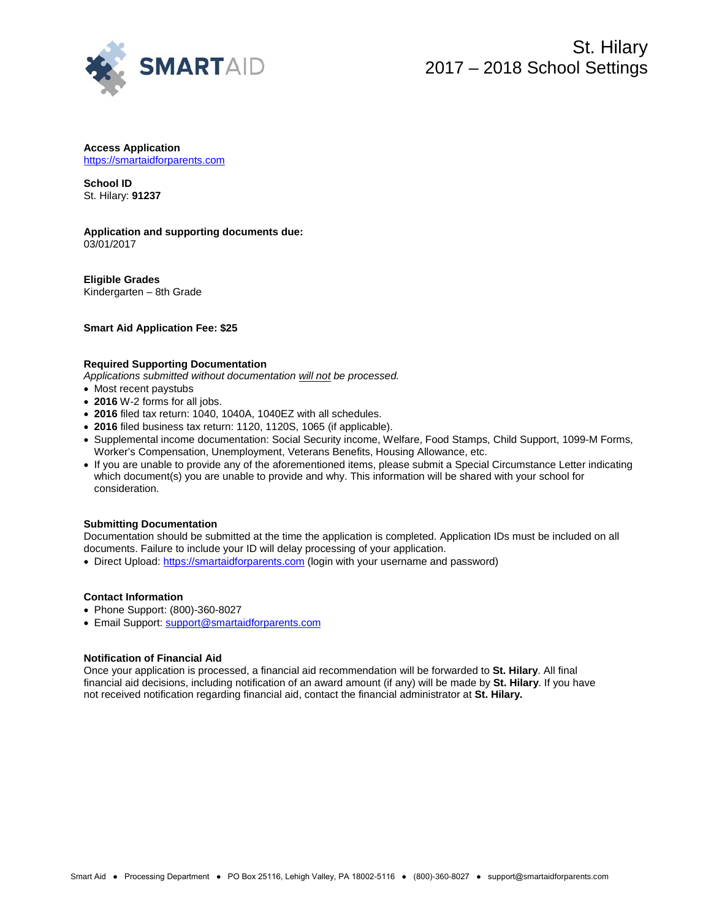

#### **Access Application** https://smartaidforparents.com

**School ID**  St. Hilary: **91237**

### **Application and supporting documents due:** 03/01/2017

**Eligible Grades** Kindergarten – 8th Grade

**Smart Aid Application Fee: \$25**

### **Required Supporting Documentation**

*Applications submitted without documentation will not be processed.*

- Most recent paystubs
- **2016** W-2 forms for all jobs.
- **2016** filed tax return: 1040, 1040A, 1040EZ with all schedules.
- **2016** filed business tax return: 1120, 1120S, 1065 (if applicable).
- Supplemental income documentation: Social Security income, Welfare, Food Stamps, Child Support, 1099-M Forms, Worker's Compensation, Unemployment, Veterans Benefits, Housing Allowance, etc.
- If you are unable to provide any of the aforementioned items, please submit a Special Circumstance Letter indicating which document(s) you are unable to provide and why. This information will be shared with your school for consideration.

# **Submitting Documentation**

Documentation should be submitted at the time the application is completed. Application IDs must be included on all documents. Failure to include your ID will delay processing of your application.

• Direct Upload[: https://smartaidforparents.com](http://www.smartaidforparents.com/) (login with your username and password)

### **Contact Information**

- Phone Support: (800)-360-8027
- Email Support[: support@smartaidforparents.com](mailto:support@smartaidforparents.com)

# **Notification of Financial Aid**

Once your application is processed, a financial aid recommendation will be forwarded to **St. Hilary**. All final financial aid decisions, including notification of an award amount (if any) will be made by **St. Hilary**. If you have not received notification regarding financial aid, contact the financial administrator at **St. Hilary.**